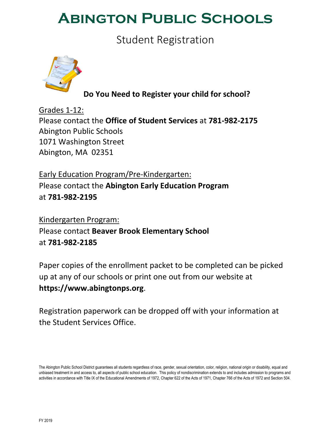## **Abington Public Schools**

Student Registration



**Do You Need to Register your child for school?**

Grades 1‐12: Please contact the **Office of Student Services** at **781‐982‐2175** Abington Public Schools 1071 Washington Street Abington, MA 02351

Early Education Program/Pre‐Kindergarten: Please contact the **Abington Early Education Program** at **781‐982‐2195**

Kindergarten Program: Please contact **Beaver Brook Elementary School** at **781‐982‐2185**

Paper copies of the enrollment packet to be completed can be picked up at any of our schools or print one out from our website at **https://www.abingtonps.org**.

Registration paperwork can be dropped off with your information at the Student Services Office.

The Abington Public School District guarantees all students regardless of race, gender, sexual orientation, color, religion, national origin or disability, equal and unbiased treatment in and access to, all aspects of public school education. This policy of nondiscrimination extends to and includes admission to programs and activities in accordance with Title IX of the Educational Amendments of 1972, Chapter 622 of the Acts of 1971, Chapter 766 of the Acts of 1972 and Section 504.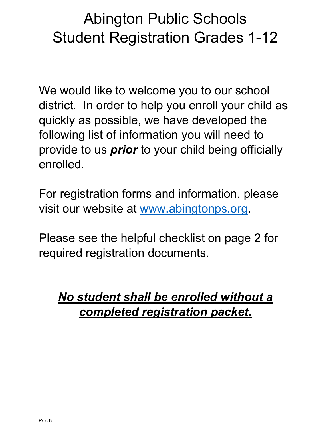# Abington Public Schools Student Registration Grades 1-12

We would like to welcome you to our school district. In order to help you enroll your child as quickly as possible, we have developed the following list of information you will need to provide to us *prior* to your child being officially enrolled.

For registration forms and information, please visit our website at www.abingtonps.org.

Please see the helpful checklist on page 2 for required registration documents.

## *No student shall be enrolled without a completed registration packet.*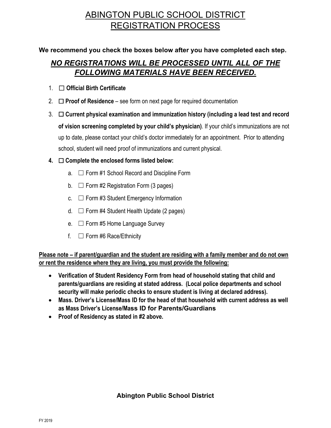## ABINGTON PUBLIC SCHOOL DISTRICT REGISTRATION PROCESS

## **We recommend you check the boxes below after you have completed each step.**

## *NO REGISTRATIONS WILL BE PROCESSED UNTIL ALL OF THE FOLLOWING MATERIALS HAVE BEEN RECEIVED.*

- 1. ☐ **Official Birth Certificate**
- 2. ☐ **Proof of Residence** see form on next page for required documentation
- 3. ☐ **Current physical examination and immunization history (including a lead test and record of vision screening completed by your child's physician)**. If your child's immunizations are not up to date, please contact your child's doctor immediately for an appointment. Prior to attending school, student will need proof of immunizations and current physical.

## **4.** ☐ **Complete the enclosed forms listed below:**

- a. ☐ Form #1 School Record and Discipline Form
- b.  $\Box$  Form #2 Registration Form (3 pages)
- c.  $\Box$  Form #3 Student Emergency Information
- d.  $\Box$  Form #4 Student Health Update (2 pages)
- e.  $\Box$  Form #5 Home Language Survey
- f.  $\Box$  Form #6 Race/Ethnicity

**Please note – if parent/guardian and the student are residing with a family member and do not own or rent the residence where they are living, you must provide the following:** 

- **Verification of Student Residency Form from head of household stating that child and parents/guardians are residing at stated address. (Local police departments and school security will make periodic checks to ensure student is living at declared address).**
- **Mass. Driver's License/Mass ID for the head of that household with current address as well as Mass Driver's License/Mass ID for Parents/Guardians**
- **Proof of Residency as stated in #2 above.**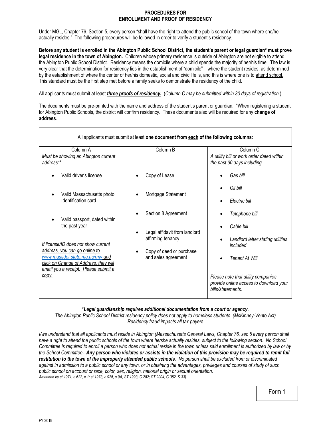#### **PROCEDURES FOR ENROLLMENT AND PROOF OF RESIDENCY**

Under MGL, Chapter 76, Section 5, every person "shall have the right to attend the public school of the town where she/he actually resides." The following procedures will be followed in order to verify a student's residency.

**Before any student is enrolled in the Abington Public School District, the student's parent or legal guardian\* must prove**  legal residence in the town of Abington. Children whose primary residence is outside of Abington are not eligible to attend the Abington Public School District. Residency means the domicile where a child spends the majority of her/his time. The law is very clear that the determination for residency lies in the establishment of "domicile" – where the student resides, as determined by the establishment of where the center of her/his domestic, social and civic life is, and this is where one is to attend school. This standard must be the first step met before a family seeks to demonstrate the residency of the child.

All applicants must submit at least *three proofs of residency.* (*Column C may be submitted within 30 days of registration*.)

The documents must be pre-printed with the name and address of the student's parent or guardian. \*When registering a student for Abington Public Schools, the district will confirm residency. These documents also will be required for any **change of address**.

|                                                                          | All applicants must submit at least one document from each of the following columns: |                                                                                                   |
|--------------------------------------------------------------------------|--------------------------------------------------------------------------------------|---------------------------------------------------------------------------------------------------|
| Column A                                                                 | Column B                                                                             | Column <sub>C</sub>                                                                               |
| Must be showing an Abington current<br>address**                         |                                                                                      | A utility bill or work order dated within<br>the past 60 days including                           |
| Valid driver's license                                                   | Copy of Lease                                                                        | Gas bill                                                                                          |
| Valid Massachusetts photo                                                | Mortgage Statement                                                                   | Oil bill                                                                                          |
| Identification card                                                      |                                                                                      | Electric bill                                                                                     |
| Valid passport, dated within                                             | Section 8 Agreement                                                                  | Telephone bill                                                                                    |
| the past year                                                            | Legal affidavit from landlord                                                        | Cable bill                                                                                        |
| If license/ID does not show current<br>address, you can go online to     | affirming tenancy                                                                    | Landlord letter stating utilities<br>included                                                     |
| www.massdot.state.ma.us/rmv and<br>click on Change of Address, they will | Copy of deed or purchase<br>and sales agreement                                      | <b>Tenant At Will</b>                                                                             |
| email you a receipt. Please submit a<br>copy.                            |                                                                                      | Please note that utility companies<br>provide online access to download your<br>bills/statements. |

#### \**Legal guardianship requires additional documentation from a court or agency.*

*The Abington Public School District residency policy does not apply to homeless students. (McKinney-Vento Act) Residency fraud impacts all tax payers* 

*I/we understand that all applicants must reside in Abington (Massachusetts General Laws, Chapter 76, sec 5 every person shall have a right to attend the public schools of the town where he/she actually resides, subject to the following section. No School Committee is required to enroll a person who does not actual reside in the town unless said enrollment is authorized by law or by the School Committee. Any person who violates or assists in the violation of this provision may be required to remit full restitution to the town of the improperly attended public schools. No person shall be excluded from or discriminated against in admission to a public school or any town, or in obtaining the advantages, privileges and courses of study of such public school on account or race, color, sex, religion, national origin or sexual orientation. Amended by st.1971, c.622, c.1; st.1973, c.925, s.9A, ST.1993, C.282; ST.2004, C.352, S.33)*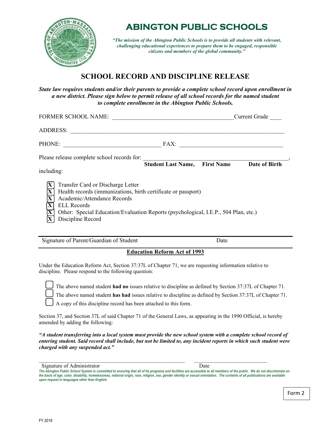

## **ABINGTON PUBLIC SCHOOLS**

*"The mission of the Abington Public Schools is to provide all students with relevant, challenging educational experiences to prepare them to be engaged, responsible citizens and members of the global community."* 

## **SCHOOL RECORD AND DISCIPLINE RELEASE**

*State law requires students and/or their parents to provide a complete school record upon enrollment in a new district. Please sign below to permit release of all school records for the named student to complete enrollment in the Abington Public Schools.* 

| FORMER SCHOOL NAME:                                                                                                                                                                                                                                                                                                            |                                      |                                                                     | <b>Current Grade</b> |
|--------------------------------------------------------------------------------------------------------------------------------------------------------------------------------------------------------------------------------------------------------------------------------------------------------------------------------|--------------------------------------|---------------------------------------------------------------------|----------------------|
| <b>ADDRESS:</b>                                                                                                                                                                                                                                                                                                                |                                      |                                                                     |                      |
| <b>PHONE:</b>                                                                                                                                                                                                                                                                                                                  | FAX:                                 | <u> 1980 - Johann Stein, mars an deus Amerikaansk kommunister (</u> |                      |
| Please release complete school records for:<br>including:                                                                                                                                                                                                                                                                      | <b>Student Last Name, First Name</b> |                                                                     | Date of Birth        |
| Transfer Card or Discharge Letter<br>Health records (immunizations, birth certificate or passport)<br>$\overline{\mathbf{X}}$<br>Academic/Attendance Records<br>$\overline{\mathbf{X}}$<br><b>ELL Records</b><br>v<br>Other: Special Education/Evaluation Reports (psychological, I.E.P., 504 Plan, etc.)<br>Discipline Record |                                      |                                                                     |                      |

Signature of Parent/Guardian of Student Date

### **Education Reform Act of 1993**

Under the Education Reform Act, Section 37:37L of Chapter 71, we are requesting information relative to discipline. Please respond to the following question:

The above named student **had no** issues relative to discipline as defined by Section 37:37L of Chapter 71.

The above named student **has had** issues relative to discipline as defined by Section 37:37L of Chapter 71.

A copy of this discipline record has been attached to this form.

Section 37, and Section 37L of said Chapter 71 of the General Laws, as appearing in the 1990 Official, is hereby amended by adding the following:

*"A student transferring into a local system must provide the new school system with a complete school record of entering student. Said record shall include, but not be limited to, any incident reports in which such student were charged with any suspended act."* 

 $\mathcal{L}_\mathcal{L} = \{ \mathcal{L}_\mathcal{L} = \{ \mathcal{L}_\mathcal{L} = \{ \mathcal{L}_\mathcal{L} = \{ \mathcal{L}_\mathcal{L} = \{ \mathcal{L}_\mathcal{L} = \{ \mathcal{L}_\mathcal{L} = \{ \mathcal{L}_\mathcal{L} = \{ \mathcal{L}_\mathcal{L} = \{ \mathcal{L}_\mathcal{L} = \{ \mathcal{L}_\mathcal{L} = \{ \mathcal{L}_\mathcal{L} = \{ \mathcal{L}_\mathcal{L} = \{ \mathcal{L}_\mathcal{L} = \{ \mathcal{L}_\mathcal{$ 

Signature of Administrator Date

*The Abington Public School System is committed to ensuring that all of its programs and facilities are accessible to all members of the public. We do not discriminate on the basis of age, color, disability, homelessness, national origin, race, religion, sex, gender identity or sexual orientation. The contents of all publications are available upon request in languages other than English.*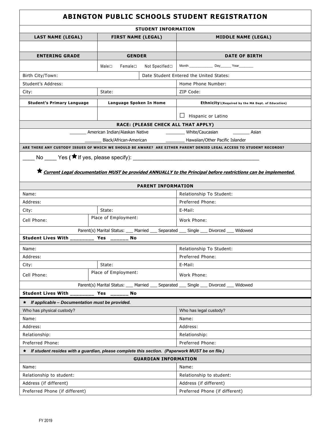| <b>ABINGTON PUBLIC SCHOOLS STUDENT REGISTRATION</b>                                                                                    |                                                                                         |                                                                                                                     |  |  |
|----------------------------------------------------------------------------------------------------------------------------------------|-----------------------------------------------------------------------------------------|---------------------------------------------------------------------------------------------------------------------|--|--|
| <b>STUDENT INFORMATION</b>                                                                                                             |                                                                                         |                                                                                                                     |  |  |
| <b>LAST NAME (LEGAL)</b>                                                                                                               | <b>FIRST NAME (LEGAL)</b>                                                               | <b>MIDDLE NAME (LEGAL)</b>                                                                                          |  |  |
|                                                                                                                                        |                                                                                         |                                                                                                                     |  |  |
| <b>ENTERING GRADE</b>                                                                                                                  | <b>GENDER</b>                                                                           | <b>DATE OF BIRTH</b>                                                                                                |  |  |
|                                                                                                                                        | Not Specified□<br>Male⊡<br>Female <sub>□</sub>                                          | Month Day Year                                                                                                      |  |  |
| Birth City/Town:                                                                                                                       |                                                                                         | Date Student Entered the United States:                                                                             |  |  |
| Student's Address:                                                                                                                     |                                                                                         | Home Phone Number:                                                                                                  |  |  |
| City:                                                                                                                                  | State:                                                                                  | ZIP Code:                                                                                                           |  |  |
| <b>Student's Primary Language</b>                                                                                                      | Language Spoken In Home                                                                 | Ethnicity: (Required by the MA Dept. of Education)                                                                  |  |  |
|                                                                                                                                        |                                                                                         |                                                                                                                     |  |  |
|                                                                                                                                        |                                                                                         | $\Box$ Hispanic or Latino                                                                                           |  |  |
|                                                                                                                                        | RACE: (PLEASE CHECK ALL THAT APPLY)                                                     |                                                                                                                     |  |  |
|                                                                                                                                        |                                                                                         |                                                                                                                     |  |  |
|                                                                                                                                        |                                                                                         |                                                                                                                     |  |  |
|                                                                                                                                        |                                                                                         | ARE THERE ANY CUSTODY ISSUES OF WHICH WE SHOULD BE AWARE? ARE EITHER PARENT DENIED LEGAL ACCESS TO STUDENT RECORDS? |  |  |
|                                                                                                                                        | No Yes ( ★ If yes, please specify):                                                     |                                                                                                                     |  |  |
|                                                                                                                                        |                                                                                         |                                                                                                                     |  |  |
|                                                                                                                                        |                                                                                         | ★ Current Legal documentation MUST be provided ANNUALLY to the Principal before restrictions can be implemented.    |  |  |
|                                                                                                                                        | <b>PARENT INFORMATION</b>                                                               |                                                                                                                     |  |  |
| Name:                                                                                                                                  |                                                                                         | Relationship To Student:                                                                                            |  |  |
| Address:                                                                                                                               |                                                                                         | Preferred Phone:                                                                                                    |  |  |
| City:                                                                                                                                  | State:                                                                                  | E-Mail:                                                                                                             |  |  |
| Cell Phone:                                                                                                                            | Place of Employment:                                                                    | Work Phone:                                                                                                         |  |  |
|                                                                                                                                        | Parent(s) Marital Status: ___ Married ___ Separated ___ Single ___ Divorced ___ Widowed |                                                                                                                     |  |  |
| Student Lives With _________ Yes ______                                                                                                | No                                                                                      |                                                                                                                     |  |  |
| Name:                                                                                                                                  |                                                                                         | Relationship To Student:                                                                                            |  |  |
| Address:                                                                                                                               |                                                                                         | Preferred Phone:                                                                                                    |  |  |
| City:                                                                                                                                  | State:                                                                                  | E-Mail:                                                                                                             |  |  |
| Cell Phone:                                                                                                                            | Place of Employment:                                                                    | Work Phone:                                                                                                         |  |  |
|                                                                                                                                        |                                                                                         |                                                                                                                     |  |  |
| Parent(s) Marital Status: ____<br>Married<br>Separated<br>Single<br>Divorced<br>Widowed<br>Student Lives With ____<br>Yes<br>No        |                                                                                         |                                                                                                                     |  |  |
|                                                                                                                                        |                                                                                         |                                                                                                                     |  |  |
| $\star$ If applicable - Documentation must be provided.                                                                                |                                                                                         | Who has legal custody?                                                                                              |  |  |
| Who has physical custody?<br>Name:                                                                                                     |                                                                                         |                                                                                                                     |  |  |
| Address:                                                                                                                               |                                                                                         | Name:<br>Address:                                                                                                   |  |  |
| Relationship:                                                                                                                          |                                                                                         | Relationship:                                                                                                       |  |  |
|                                                                                                                                        |                                                                                         |                                                                                                                     |  |  |
| Preferred Phone:<br>Preferred Phone:<br>If student resides with a guardian, please complete this section. (Paperwork MUST be on file.) |                                                                                         |                                                                                                                     |  |  |
| ★                                                                                                                                      | <b>GUARDIAN INFORMATION</b>                                                             |                                                                                                                     |  |  |
| Name:                                                                                                                                  |                                                                                         | Name:                                                                                                               |  |  |
|                                                                                                                                        |                                                                                         |                                                                                                                     |  |  |
| Relationship to student:<br>Address (if different)                                                                                     |                                                                                         | Relationship to student:<br>Address (if different)                                                                  |  |  |
| Preferred Phone (if different)                                                                                                         |                                                                                         | Preferred Phone (if different)                                                                                      |  |  |
|                                                                                                                                        |                                                                                         |                                                                                                                     |  |  |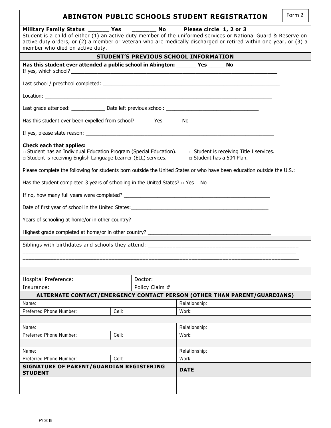|                                                                                                                                                                          |       |                | <b>ABINGTON PUBLIC SCHOOLS STUDENT REGISTRATION</b>                                                                                                                                                                                 | Form 2 |
|--------------------------------------------------------------------------------------------------------------------------------------------------------------------------|-------|----------------|-------------------------------------------------------------------------------------------------------------------------------------------------------------------------------------------------------------------------------------|--------|
| Military Family Status ______ Yes ________ No Please circle 1, 2 or 3<br>member who died on active duty.                                                                 |       |                | Student is a child of either (1) an active duty member of the uniformed services or National Guard & Reserve on<br>active duty orders, or (2) a member or veteran who are medically discharged or retired within one year, or (3) a |        |
|                                                                                                                                                                          |       |                | <b>STUDENT'S PREVIOUS SCHOOL INFORMATION</b>                                                                                                                                                                                        |        |
| Has this student ever attended a public school in Abington: _______ Yes ______ No                                                                                        |       |                |                                                                                                                                                                                                                                     |        |
|                                                                                                                                                                          |       |                |                                                                                                                                                                                                                                     |        |
|                                                                                                                                                                          |       |                |                                                                                                                                                                                                                                     |        |
|                                                                                                                                                                          |       |                | Last grade attended: _________________ Date left previous school: __________________________________                                                                                                                                |        |
| Has this student ever been expelled from school? ______ Yes ______ No                                                                                                    |       |                |                                                                                                                                                                                                                                     |        |
|                                                                                                                                                                          |       |                |                                                                                                                                                                                                                                     |        |
| <b>Check each that applies:</b><br>□ Student has an Individual Education Program (Special Education).<br>□ Student is receiving English Language Learner (ELL) services. |       |                | $\Box$ Student is receiving Title I services.<br>□ Student has a 504 Plan.                                                                                                                                                          |        |
|                                                                                                                                                                          |       |                | Please complete the following for students born outside the United States or who have been education outside the U.S.:                                                                                                              |        |
| Has the student completed 3 years of schooling in the United States? $\Box$ Yes $\Box$ No                                                                                |       |                |                                                                                                                                                                                                                                     |        |
|                                                                                                                                                                          |       |                |                                                                                                                                                                                                                                     |        |
|                                                                                                                                                                          |       |                |                                                                                                                                                                                                                                     |        |
|                                                                                                                                                                          |       |                | Years of schooling at home/or in other country? _________________________________                                                                                                                                                   |        |
|                                                                                                                                                                          |       |                |                                                                                                                                                                                                                                     |        |
|                                                                                                                                                                          |       |                |                                                                                                                                                                                                                                     |        |
|                                                                                                                                                                          |       |                |                                                                                                                                                                                                                                     |        |
|                                                                                                                                                                          |       |                |                                                                                                                                                                                                                                     |        |
| Hospital Preference:                                                                                                                                                     |       | Doctor:        |                                                                                                                                                                                                                                     |        |
| Insurance:                                                                                                                                                               |       | Policy Claim # |                                                                                                                                                                                                                                     |        |
| Name:                                                                                                                                                                    |       |                | ALTERNATE CONTACT/EMERGENCY CONTACT PERSON (OTHER THAN PARENT/GUARDIANS)                                                                                                                                                            |        |
| Preferred Phone Number:                                                                                                                                                  | Cell: |                | Relationship:<br>Work:                                                                                                                                                                                                              |        |
|                                                                                                                                                                          |       |                |                                                                                                                                                                                                                                     |        |
| Name:                                                                                                                                                                    |       |                | Relationship:                                                                                                                                                                                                                       |        |
| Preferred Phone Number:                                                                                                                                                  | Cell: |                | Work:                                                                                                                                                                                                                               |        |
|                                                                                                                                                                          |       |                |                                                                                                                                                                                                                                     |        |
| Name:                                                                                                                                                                    |       |                | Relationship:                                                                                                                                                                                                                       |        |
| Preferred Phone Number:                                                                                                                                                  | Cell: |                | Work:                                                                                                                                                                                                                               |        |
| SIGNATURE OF PARENT/GUARDIAN REGISTERING<br><b>STUDENT</b>                                                                                                               |       |                | <b>DATE</b>                                                                                                                                                                                                                         |        |
|                                                                                                                                                                          |       |                |                                                                                                                                                                                                                                     |        |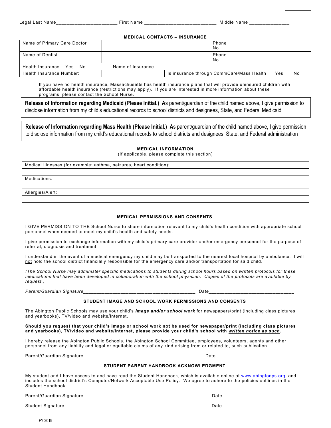#### **MEDICAL CONTACTS – INSURANCE**

| Name of Primary Care Doctor |                   |                                           | Phone<br>No. |     |    |
|-----------------------------|-------------------|-------------------------------------------|--------------|-----|----|
| Name of Dentist             |                   |                                           | Phone<br>No. |     |    |
| Health Insurance Yes No     | Name of Insurance |                                           |              |     |    |
| Health Insurance Number:    |                   | Is insurance through CommCare/Mass Health |              | Yes | No |

If you have no health insurance, Massachusetts has health insurance plans that will provide uninsured children with affordable health insurance (restrictions may apply). If you are interested in more information about these programs, please contact the School Nurse.

**Release of Information regarding Medicaid (Please Initial.) A**s parent/guardian of the child named above, I give permission to disclose information from my child's educational records to school districts and designees, State, and Federal Medicaid

**Release of Information regarding Mass Health (Please Initial.) A**s parent/guardian of the child named above, I give permission to disclose information from my child's educational records to school districts and designees, State, and Federal administration

**MEDICAL INFORMATION** 

(If applicable, please complete this section)

Medical Illnesses (for example: asthma, seizures, heart condition):

Medications:

Allergies/Alert:

#### **MEDICAL PERMISSIONS AND CONSENTS**

I GIVE PERMISSION TO THE School Nurse to share information relevant to my child's health condition with appropriate school personnel when needed to meet my child's health and safety needs.

I give permission to exchange information with my child's primary care provider and/or emergency personnel for the purpose of referral, diagnosis and treatment.

I understand in the event of a medical emergency my child may be transported to the nearest local hospital by ambulance. I will not hold the school district financially responsible for the emergency care and/or transportation for said child.

*(The School Nurse may administer specific medications to students during school hours based on written protocols for these medications that have been developed in collaboration with the school physician. Copies of the protocols are available by request.)* 

*Parent/Guardian Signature\_\_\_\_\_\_\_\_\_\_\_\_\_\_\_\_\_\_\_\_\_\_\_\_\_\_\_\_\_\_\_\_\_\_\_\_\_\_\_\_\_\_ Date\_\_\_\_\_\_\_\_\_\_\_\_\_\_\_\_\_\_\_\_\_\_\_\_\_\_\_\_\_\_\_\_* 

#### **STUDENT IMAGE AND SCHOOL WORK PERMISSIONS AND CONSENTS**

The Abington Public Schools may use your child's *Image and/or school work* for newspapers/print (including class pictures and yearbooks), TV/video and website/Internet.

**Should you request that your child's image or school work not be used for newspaper/print (including class pictures and yearbooks), TV/video and website/Internet, please provide your child's school with** *written notice as such***.** 

I hereby release the Abington Public Schools, the Abington School Committee, employees, volunteers, agents and other personnel from any liability and legal or equitable claims of any kind arising from or related to, such publication.

Parent/Guardian Signature \_\_\_\_\_\_\_\_\_\_\_\_\_\_\_\_\_\_\_\_\_\_\_\_\_\_\_\_\_\_\_\_\_\_\_\_\_\_\_\_\_\_\_\_ Date\_\_\_\_\_\_\_\_\_\_\_\_\_\_\_\_\_\_\_\_\_\_\_\_\_\_\_\_\_\_\_\_

#### **STUDENT PARENT HANDBOOK ACKNOWLEDGMENT**

My student and I have access to and have read the Student Handbook, which is available online at www.abingtonps.org, and includes the school district's Computer/Network Acceptable Use Policy. We agree to adhere to the policies outlines in the Student Handbook.

Parent/Guardian Signature \_\_\_\_\_\_\_\_\_\_\_\_\_\_\_\_\_\_\_\_\_\_\_\_\_\_\_\_\_\_\_\_\_\_\_\_\_\_\_\_\_\_\_\_\_\_\_ Date\_\_\_\_\_\_\_\_\_\_\_\_\_\_\_\_\_\_\_\_\_\_\_\_\_\_\_\_\_\_

Student Signature \_\_\_\_\_\_\_\_\_\_\_\_\_\_\_\_\_\_\_\_\_\_\_\_\_\_\_\_\_\_\_\_\_\_\_\_\_\_\_\_\_\_\_\_\_\_\_\_\_\_\_\_\_\_ Date \_\_\_\_\_\_\_\_\_\_\_\_\_\_\_\_\_\_\_\_\_\_\_\_\_\_\_\_\_

FY 2019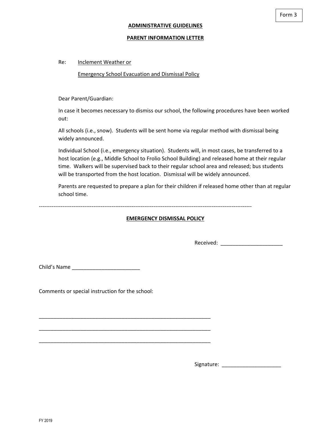#### **PARENT INFORMATION LETTER**

#### Re: Inclement Weather or

#### Emergency School Evacuation and Dismissal Policy

Dear Parent/Guardian:

In case it becomes necessary to dismiss our school, the following procedures have been worked out:

All schools (i.e., snow). Students will be sent home via regular method with dismissal being widely announced.

Individual School (i.e., emergency situation). Students will, in most cases, be transferred to a host location (e.g., Middle School to Frolio School Building) and released home at their regular time. Walkers will be supervised back to their regular school area and released; bus students will be transported from the host location. Dismissal will be widely announced.

Parents are requested to prepare a plan for their children if released home other than at regular school time.

‐‐‐‐‐‐‐‐‐‐‐‐‐‐‐‐‐‐‐‐‐‐‐‐‐‐‐‐‐‐‐‐‐‐‐‐‐‐‐‐‐‐‐‐‐‐‐‐‐‐‐‐‐‐‐‐‐‐‐‐‐‐‐‐‐‐‐‐‐‐‐‐‐‐‐‐‐‐‐‐‐‐‐‐‐‐‐‐‐‐‐‐‐‐‐‐‐‐‐‐‐‐‐‐‐‐‐‐‐‐‐‐‐‐‐‐‐

#### **EMERGENCY DISMISSAL POLICY**

Received: \_\_\_\_\_\_\_\_\_\_\_\_\_\_\_\_\_\_\_\_\_

Child's Name \_\_\_\_\_\_\_\_\_\_\_\_\_\_\_\_\_\_\_\_\_\_\_

Comments or special instruction for the school:

\_\_\_\_\_\_\_\_\_\_\_\_\_\_\_\_\_\_\_\_\_\_\_\_\_\_\_\_\_\_\_\_\_\_\_\_\_\_\_\_\_\_\_\_\_\_\_\_\_\_\_\_\_\_\_\_\_\_

\_\_\_\_\_\_\_\_\_\_\_\_\_\_\_\_\_\_\_\_\_\_\_\_\_\_\_\_\_\_\_\_\_\_\_\_\_\_\_\_\_\_\_\_\_\_\_\_\_\_\_\_\_\_\_\_\_\_

\_\_\_\_\_\_\_\_\_\_\_\_\_\_\_\_\_\_\_\_\_\_\_\_\_\_\_\_\_\_\_\_\_\_\_\_\_\_\_\_\_\_\_\_\_\_\_\_\_\_\_\_\_\_\_\_\_\_

Signature: \_\_\_\_\_\_\_\_\_\_\_\_\_\_\_\_\_\_\_\_

FY 2019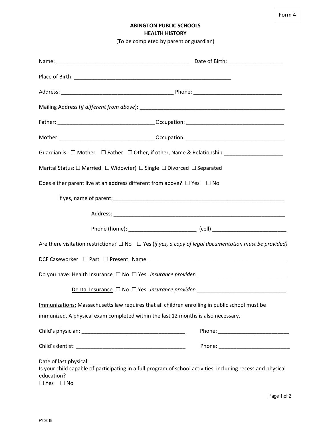Form 4

## **ABINGTON PUBLIC SCHOOLS HEALTH HISTORY**

(To be completed by parent or guardian)

| Guardian is: □ Mother □ Father □ Other, if other, Name & Relationship _________________                                    |                                                                                  |
|----------------------------------------------------------------------------------------------------------------------------|----------------------------------------------------------------------------------|
| Marital Status: $\Box$ Married $\Box$ Widow(er) $\Box$ Single $\Box$ Divorced $\Box$ Separated                             |                                                                                  |
| Does either parent live at an address different from above? $\Box$ Yes $\Box$ No                                           |                                                                                  |
|                                                                                                                            |                                                                                  |
|                                                                                                                            |                                                                                  |
|                                                                                                                            |                                                                                  |
| Are there visitation restrictions? $\Box$ No $\Box$ Yes (if yes, a copy of legal documentation must be provided)           |                                                                                  |
|                                                                                                                            |                                                                                  |
|                                                                                                                            |                                                                                  |
|                                                                                                                            | Dental Insurance □ No □ Yes Insurance provider: ________________________________ |
| Immunizations: Massachusetts law requires that all children enrolling in public school must be                             |                                                                                  |
| immunized. A physical exam completed within the last 12 months is also necessary.                                          |                                                                                  |
|                                                                                                                            |                                                                                  |
|                                                                                                                            |                                                                                  |
| Is your child capable of participating in a full program of school activities, including recess and physical<br>education? |                                                                                  |

 $\square$  Yes  $\square$  No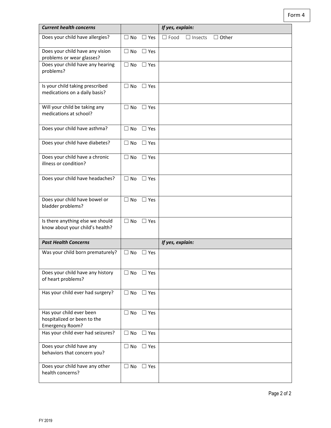Form 4

| <b>Current health concerns</b>                                             |                            | If yes, explain:                              |
|----------------------------------------------------------------------------|----------------------------|-----------------------------------------------|
| Does your child have allergies?                                            | $\Box$ No<br>$\Box$ Yes    | $\Box$ Food<br>$\Box$ Other<br>$\Box$ Insects |
| Does your child have any vision<br>problems or wear glasses?               | $\Box$ No<br>$\Box$ Yes    |                                               |
| Does your child have any hearing<br>problems?                              | $\Box$ No<br>$\Box$ Yes    |                                               |
| Is your child taking prescribed<br>medications on a daily basis?           | $\Box$ No<br>$\Box$ Yes    |                                               |
| Will your child be taking any<br>medications at school?                    | $\Box$ No<br>$\Box$ Yes    |                                               |
| Does your child have asthma?                                               | $\Box$ Yes<br>$\Box$ No    |                                               |
| Does your child have diabetes?                                             | $\Box$ No<br>$\square$ Yes |                                               |
| Does your child have a chronic<br>illness or condition?                    | $\Box$ No<br>$\Box$ Yes    |                                               |
| Does your child have headaches?                                            | $\Box$ No<br>$\Box$ Yes    |                                               |
| Does your child have bowel or<br>bladder problems?                         | $\Box$ No<br>$\Box$ Yes    |                                               |
| Is there anything else we should<br>know about your child's health?        | $\square$ Yes<br>$\Box$ No |                                               |
| <b>Past Health Concerns</b>                                                |                            | If yes, explain:                              |
| Was your child born prematurely?                                           | $\Box$ No<br>$\Box$ Yes    |                                               |
| Does your child have any history<br>of heart problems?                     | $\Box$ No $\Box$ Yes       |                                               |
| Has your child ever had surgery?                                           | $\Box$ No<br>$\Box$ Yes    |                                               |
| Has your child ever been<br>hospitalized or been to the<br>Emergency Room? | $\Box$ Yes<br>$\Box$ No    |                                               |
| Has your child ever had seizures?                                          | $\Box$ No<br>$\Box$ Yes    |                                               |
| Does your child have any<br>behaviors that concern you?                    | $\Box$ No<br>$\Box$ Yes    |                                               |
| Does your child have any other<br>health concerns?                         | $\Box$ No<br>$\Box$ Yes    |                                               |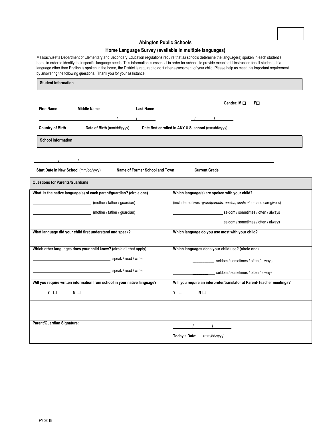

#### **Abington Public Schools**

#### **Home Language Survey (available in multiple languages)**

Massachusetts Department of Elementary and Secondary Education regulations require that *all* schools determine the language(s) spoken in each student's home in order to identify their specific language needs. This information is essential in order for schools to provide meaningful instruction for all students. If a language other than English is spoken in the home, the District is required to do further assessment of your child. Please help us meet this important requirement by answering the following questions. Thank you for your assistance.

| <b>Student Information</b>                                                                      |                                                                         |  |  |
|-------------------------------------------------------------------------------------------------|-------------------------------------------------------------------------|--|--|
| <b>Last Name</b><br><b>First Name</b><br><b>Middle Name</b><br>$\mathbf{I}$                     | Gender: M □<br>FO<br>$\frac{1}{2}$ $\frac{1}{2}$                        |  |  |
| <b>Country of Birth</b><br>Date of Birth (mm/dd/yyyy)                                           | Date first enrolled in ANY U.S. school (mm/dd/yyyy)                     |  |  |
| <b>School Information</b>                                                                       |                                                                         |  |  |
| Start Date in New School (mm/dd/yyyy)<br>Name of Former School and Town<br><b>Current Grade</b> |                                                                         |  |  |
| <b>Questions for Parents/Guardians</b>                                                          |                                                                         |  |  |
| What is the native language(s) of each parent/guardian? (circle one)                            | Which language(s) are spoken with your child?                           |  |  |
| (mother / father / guardian)<br><u> 1989 - Johann Barbara, martin a</u>                         | (include relatives -grandparents, uncles, aunts, etc. - and caregivers) |  |  |
| (mother / father / guardian)                                                                    | seldom / sometimes / often / always                                     |  |  |
|                                                                                                 | seldom / sometimes / often / always                                     |  |  |
| What language did your child first understand and speak?                                        | Which language do you use most with your child?                         |  |  |
| Which other languages does your child know? (circle all that apply)                             | Which languages does your child use? (circle one)                       |  |  |
| speak / read / write                                                                            | seldom / sometimes / often / always                                     |  |  |
| speak / read / write                                                                            | seldom / sometimes / often / always                                     |  |  |
| Will you require written information from school in your native language?                       | Will you require an interpreter/translator at Parent-Teacher meetings?  |  |  |
| Y O<br>$N \Box$                                                                                 | Y O<br>$N \Box$                                                         |  |  |
|                                                                                                 |                                                                         |  |  |
| Parent/Guardian Signature:                                                                      |                                                                         |  |  |
|                                                                                                 | Today's Date:<br>(mm/dd/yyyy)                                           |  |  |